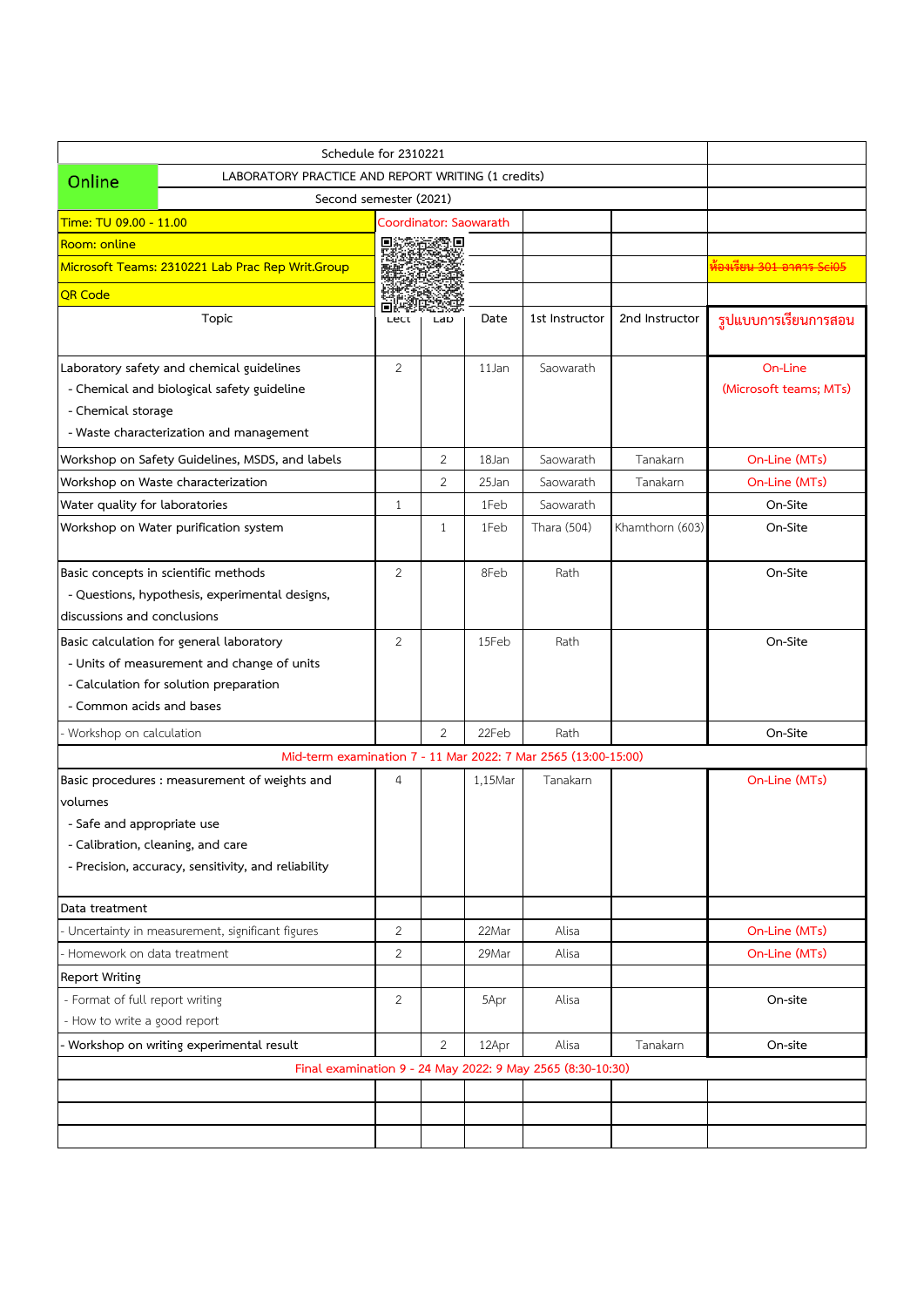|                                                                            | Schedule for 2310221                                                                                                             |                |                |                        |                                                            |                 |                                      |  |  |
|----------------------------------------------------------------------------|----------------------------------------------------------------------------------------------------------------------------------|----------------|----------------|------------------------|------------------------------------------------------------|-----------------|--------------------------------------|--|--|
| Online                                                                     | LABORATORY PRACTICE AND REPORT WRITING (1 credits)                                                                               |                |                |                        |                                                            |                 |                                      |  |  |
|                                                                            | Second semester (2021)                                                                                                           |                |                |                        |                                                            |                 |                                      |  |  |
| Time: TU 09.00 - 11.00                                                     |                                                                                                                                  |                |                | Coordinator: Saowarath |                                                            |                 |                                      |  |  |
| Room: online                                                               |                                                                                                                                  | о              | o              |                        |                                                            |                 |                                      |  |  |
|                                                                            | Microsoft Teams: 2310221 Lab Prac Rep Writ.Group                                                                                 |                |                |                        |                                                            |                 | <del>ห้องเรียน 301 อาคาร Sci05</del> |  |  |
| <b>QR Code</b>                                                             |                                                                                                                                  | Пi             |                |                        |                                                            |                 |                                      |  |  |
|                                                                            | Topic                                                                                                                            | Lect           | Lap            | Date                   | 1st Instructor                                             | 2nd Instructor  | รูปแบบการเรียนการสอน                 |  |  |
|                                                                            | Laboratory safety and chemical guidelines                                                                                        | 2              |                | 11Jan                  | Saowarath                                                  |                 | On-Line                              |  |  |
|                                                                            | - Chemical and biological safety guideline                                                                                       |                |                |                        |                                                            |                 | (Microsoft teams; MTs)               |  |  |
| - Chemical storage                                                         |                                                                                                                                  |                |                |                        |                                                            |                 |                                      |  |  |
|                                                                            | - Waste characterization and management                                                                                          |                |                |                        |                                                            |                 |                                      |  |  |
|                                                                            | Workshop on Safety Guidelines, MSDS, and labels                                                                                  |                | 2              | 18Jan                  | Saowarath                                                  | Tanakarn        | On-Line (MTs)                        |  |  |
|                                                                            | Workshop on Waste characterization                                                                                               |                | $\overline{2}$ | 25Jan                  | Saowarath                                                  | Tanakarn        | On-Line (MTs)                        |  |  |
| Water quality for laboratories                                             |                                                                                                                                  | $\mathbf{1}$   |                | 1Feb                   | Saowarath                                                  |                 | On-Site                              |  |  |
|                                                                            | Workshop on Water purification system                                                                                            |                | $\mathbf{1}$   | 1Feb                   | Thara (504)                                                | Khamthorn (603) | On-Site                              |  |  |
| discussions and conclusions                                                | Basic concepts in scientific methods<br>- Questions, hypothesis, experimental designs,                                           | 2              |                | 8Feb                   | Rath                                                       |                 | On-Site                              |  |  |
| - Common acids and bases                                                   | Basic calculation for general laboratory<br>- Units of measurement and change of units<br>- Calculation for solution preparation | $\overline{2}$ |                | 15Feb                  | Rath                                                       |                 | On-Site                              |  |  |
| Workshop on calculation                                                    |                                                                                                                                  |                | $\overline{2}$ | 22Feb                  | Rath                                                       |                 | On-Site                              |  |  |
|                                                                            | Mid-term examination 7 - 11 Mar 2022: 7 Mar 2565 (13:00-15:00)                                                                   |                |                |                        |                                                            |                 |                                      |  |  |
| volumes<br>- Safe and appropriate use<br>- Calibration, cleaning, and care | Basic procedures : measurement of weights and<br>- Precision, accuracy, sensitivity, and reliability                             | $\overline{4}$ |                | 1,15Mar                | Tanakarn                                                   |                 | On-Line (MTs)                        |  |  |
| Data treatment                                                             |                                                                                                                                  |                |                |                        |                                                            |                 |                                      |  |  |
|                                                                            | Uncertainty in measurement, significant figures                                                                                  | 2              |                | 22Mar                  | Alisa                                                      |                 | On-Line (MTs)                        |  |  |
| Homework on data treatment                                                 |                                                                                                                                  | 2              |                | 29Mar                  | Alisa                                                      |                 | On-Line (MTs)                        |  |  |
| <b>Report Writing</b>                                                      |                                                                                                                                  |                |                |                        |                                                            |                 |                                      |  |  |
| - Format of full report writing<br>- How to write a good report            |                                                                                                                                  | 2              |                | 5Apr                   | Alisa                                                      |                 | On-site                              |  |  |
|                                                                            | Workshop on writing experimental result                                                                                          |                | 2              | 12Apr                  | Alisa                                                      | Tanakarn        | On-site                              |  |  |
|                                                                            |                                                                                                                                  |                |                |                        | Final examination 9 - 24 May 2022: 9 May 2565 (8:30-10:30) |                 |                                      |  |  |
|                                                                            |                                                                                                                                  |                |                |                        |                                                            |                 |                                      |  |  |